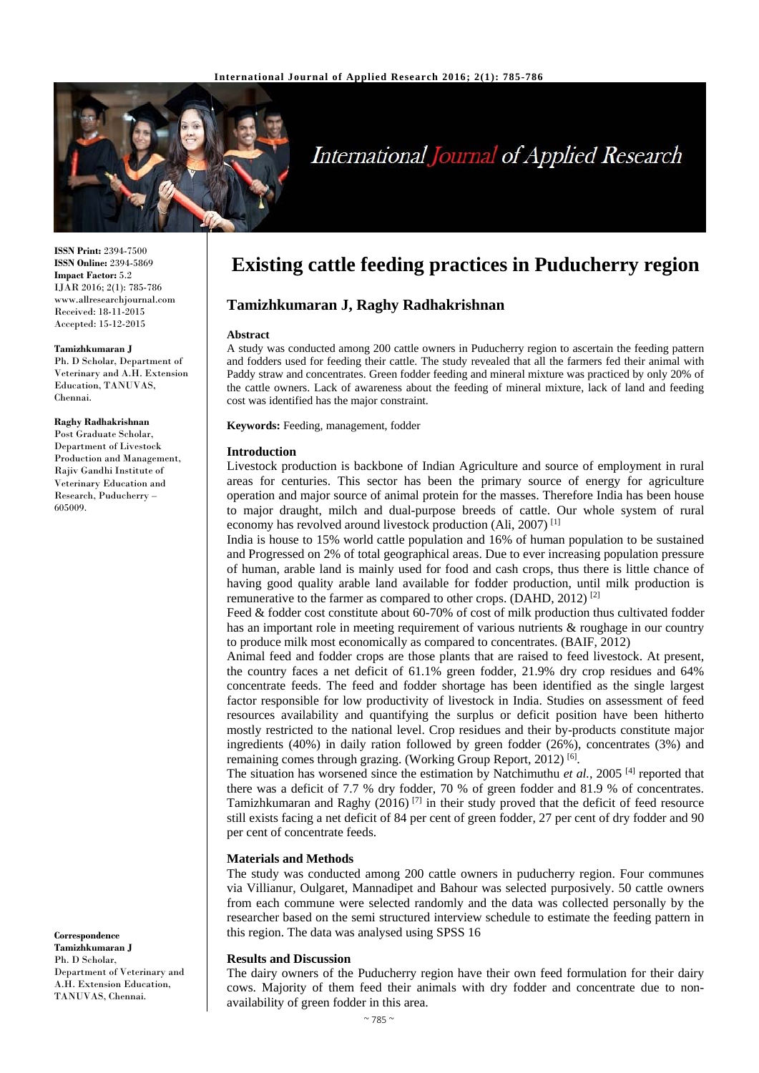

# International Journal of Applied Research

**ISSN Print:** 2394-7500 **ISSN Online:** 2394-5869 **Impact Factor:** 5.2 IJAR 2016; 2(1): 785-786 www.allresearchjournal.com Received: 18-11-2015 Accepted: 15-12-2015

#### **Tamizhkumaran J**

Ph. D Scholar, Department of Veterinary and A.H. Extension Education, TANUVAS, Chennai.

**Raghy Radhakrishnan**  Post Graduate Scholar, Department of Livestock Production and Management, Rajiv Gandhi Institute of Veterinary Education and Research, Puducherry – 605009.

**Correspondence Tamizhkumaran J** 

Ph. D Scholar, Department of Veterinary and A.H. Extension Education, TANUVAS, Chennai.

# **Existing cattle feeding practices in Puducherry region**

# **Tamizhkumaran J, Raghy Radhakrishnan**

#### **Abstract**

A study was conducted among 200 cattle owners in Puducherry region to ascertain the feeding pattern and fodders used for feeding their cattle. The study revealed that all the farmers fed their animal with Paddy straw and concentrates. Green fodder feeding and mineral mixture was practiced by only 20% of the cattle owners. Lack of awareness about the feeding of mineral mixture, lack of land and feeding cost was identified has the major constraint.

**Keywords:** Feeding, management, fodder

#### **Introduction**

Livestock production is backbone of Indian Agriculture and source of employment in rural areas for centuries. This sector has been the primary source of energy for agriculture operation and major source of animal protein for the masses. Therefore India has been house to major draught, milch and dual-purpose breeds of cattle. Our whole system of rural economy has revolved around livestock production (Ali, 2007) [1]

India is house to 15% world cattle population and 16% of human population to be sustained and Progressed on 2% of total geographical areas. Due to ever increasing population pressure of human, arable land is mainly used for food and cash crops, thus there is little chance of having good quality arable land available for fodder production, until milk production is remunerative to the farmer as compared to other crops. (DAHD, 2012) [2]

Feed & fodder cost constitute about 60-70% of cost of milk production thus cultivated fodder has an important role in meeting requirement of various nutrients & roughage in our country to produce milk most economically as compared to concentrates. (BAIF, 2012)

Animal feed and fodder crops are those plants that are raised to feed livestock. At present, the country faces a net deficit of 61.1% green fodder, 21.9% dry crop residues and 64% concentrate feeds. The feed and fodder shortage has been identified as the single largest factor responsible for low productivity of livestock in India. Studies on assessment of feed resources availability and quantifying the surplus or deficit position have been hitherto mostly restricted to the national level. Crop residues and their by-products constitute major ingredients (40%) in daily ration followed by green fodder (26%), concentrates (3%) and remaining comes through grazing. (Working Group Report, 2012)<sup>[6]</sup>.

The situation has worsened since the estimation by Natchimuthu *et al.,* 2005 [4] reported that there was a deficit of 7.7 % dry fodder, 70 % of green fodder and 81.9 % of concentrates. Tamizhkumaran and Raghy (2016)<sup>[7]</sup> in their study proved that the deficit of feed resource still exists facing a net deficit of 84 per cent of green fodder, 27 per cent of dry fodder and 90 per cent of concentrate feeds.

#### **Materials and Methods**

The study was conducted among 200 cattle owners in puducherry region. Four communes via Villianur, Oulgaret, Mannadipet and Bahour was selected purposively. 50 cattle owners from each commune were selected randomly and the data was collected personally by the researcher based on the semi structured interview schedule to estimate the feeding pattern in this region. The data was analysed using SPSS 16

#### **Results and Discussion**

The dairy owners of the Puducherry region have their own feed formulation for their dairy cows. Majority of them feed their animals with dry fodder and concentrate due to nonavailability of green fodder in this area.